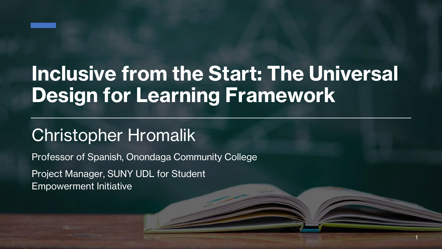

## **Inclusive from the Start: The Universal Design for Learning Framework**

1

### Christopher Hromalik

Professor of Spanish, Onondaga Community College

Project Manager, SUNY UDL for Student Empowerment Initiative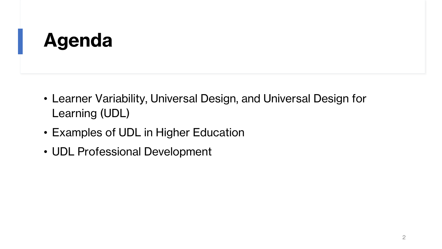### **Agenda**

- Learner Variability, Universal Design, and Universal Design for Learning (UDL)
- Examples of UDL in Higher Education
- UDL Professional Development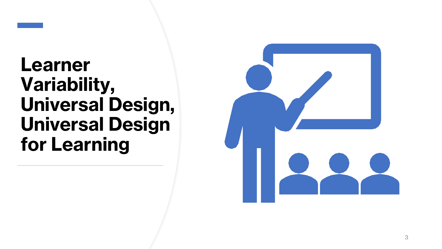

### **Learner Variability, Universal Design, Universal Design for Learning**

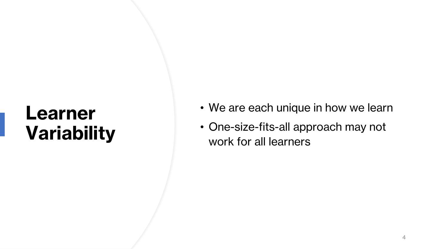### **Learner Variability**

- We are each unique in how we learn
- One-size-fits-all approach may not work for all learners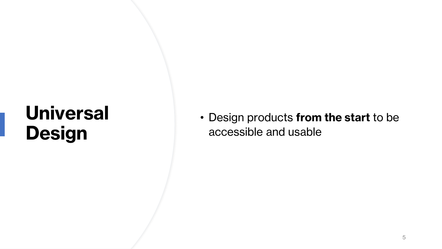## **Universal Design**

#### • Design products **from the start** to be accessible and usable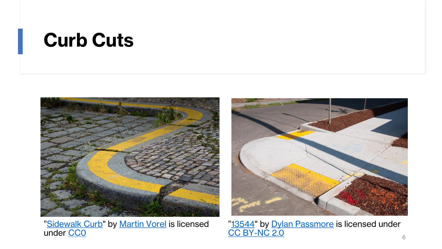### **Curb Cuts**



"[Sidewalk Curb](https://libreshot.com/sidewalk-curb/)" by [Martin Vorel](https://libreshot.com/about-libreshot/) is licensed



"[13544](https://www.flickr.com/photos/dylanpassmore/30444503371)" by [Dylan Passmore](https://www.flickr.com/photos/dylanpassmore/) is licensed under [CC BY-NC 2.0](https://creativecommons.org/licenses/by-nc/2.0/) under CCO et al. CC BY-NC 2.0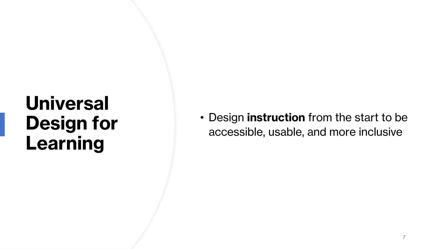## **Universal Design for Learning**

• Design **instruction** from the start to be accessible, usable, and more inclusive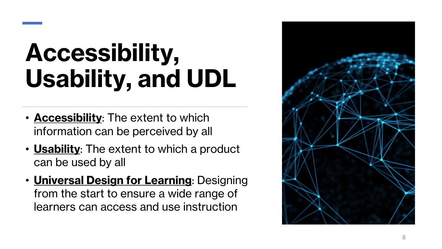# **Accessibility, Usability, and UDL**

- **Accessibility**: The extent to which information can be perceived by all
- **Usability**: The extent to which a product can be used by all
- **Universal Design for Learning**: Designing from the start to ensure a wide range of learners can access and use instruction

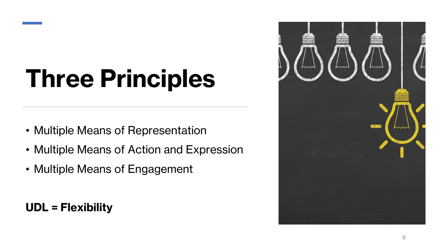# **Three Principles**

- Multiple Means of Representation
- Multiple Means of Action and Expression
- Multiple Means of Engagement

**UDL = Flexibility**

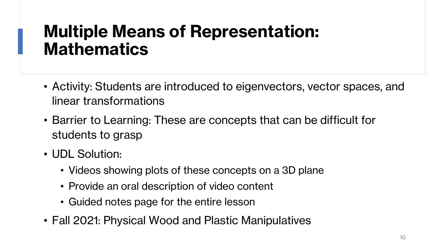#### **Multiple Means of Representation: Mathematics**

- Activity: Students are introduced to eigenvectors, vector spaces, and linear transformations
- Barrier to Learning: These are concepts that can be difficult for students to grasp
- UDL Solution:
	- Videos showing plots of these concepts on a 3D plane
	- Provide an oral description of video content
	- Guided notes page for the entire lesson
- Fall 2021: Physical Wood and Plastic Manipulatives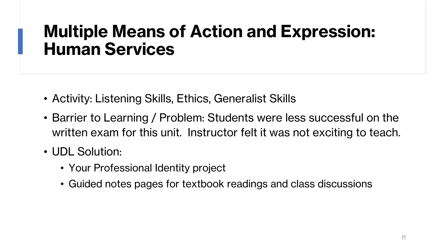#### **Multiple Means of Action and Expression: Human Services**

- Activity: Listening Skills, Ethics, Generalist Skills
- Barrier to Learning / Problem: Students were less successful on the written exam for this unit. Instructor felt it was not exciting to teach.
- UDL Solution:
	- Your Professional Identity project
	- Guided notes pages for textbook readings and class discussions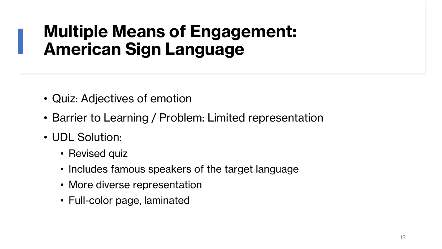### **Multiple Means of Engagement: American Sign Language**

- Quiz: Adjectives of emotion
- Barrier to Learning / Problem: Limited representation
- UDL Solution:
	- Revised quiz
	- Includes famous speakers of the target language
	- More diverse representation
	- Full-color page, laminated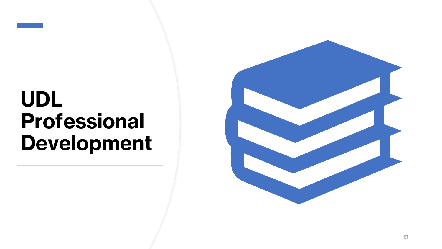# **UDL Professional Development**

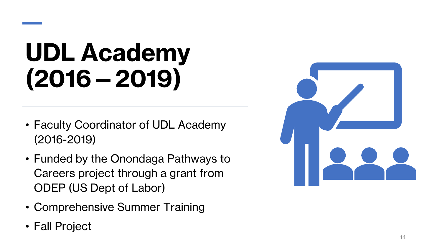# **UDL Academy (2016 —2019)**

- Faculty Coordinator of UDL Academy (2016 -2019)
- Funded by the Onondaga Pathways to Careers project through a grant from ODEP (US Dept of Labor)
- Comprehensive Summer Training
- Fall Project

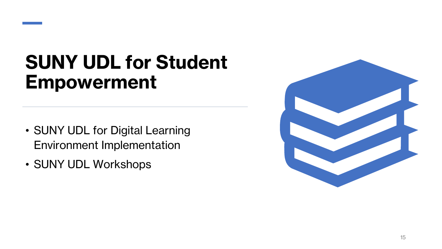

- SUNY UDL for Digital Learning Environment Implementation
- SUNY UDL Workshops

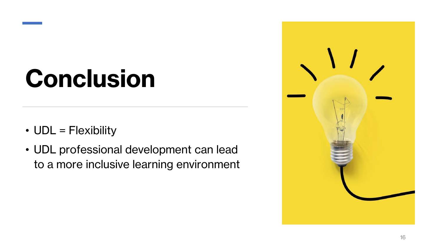# **Conclusion**

- UDL = Flexibility
- UDL professional development can lead to a more inclusive learning environment

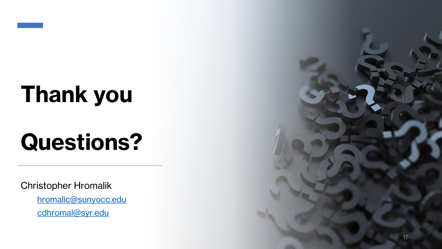

# **Thank you**

# **Questions?**

Christopher Hromalik

[hromalic@sunyocc.edu](mailto:hromalic@sunyocc.edu) [cdhromal@syr.edu](mailto:cdhromal@syr.edu)

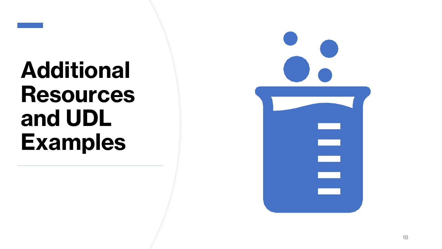

# **Additional Resources and UDL Examples**

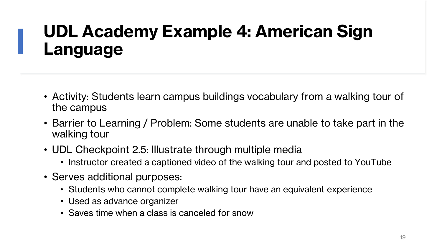### **UDL Academy Example 4: American Sign Language**

- Activity: Students learn campus buildings vocabulary from a walking tour of the campus
- Barrier to Learning / Problem: Some students are unable to take part in the walking tour
- UDL Checkpoint 2.5: Illustrate through multiple media
	- Instructor created a captioned video of the walking tour and posted to YouTube
- Serves additional purposes:
	- Students who cannot complete walking tour have an equivalent experience
	- Used as advance organizer
	- Saves time when a class is canceled for snow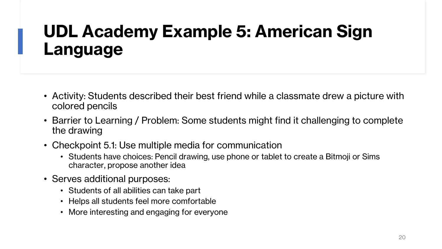### **UDL Academy Example 5: American Sign Language**

- Activity: Students described their best friend while a classmate drew a picture with colored pencils
- Barrier to Learning / Problem: Some students might find it challenging to complete the drawing
- Checkpoint 5.1: Use multiple media for communication
	- Students have choices: Pencil drawing, use phone or tablet to create a Bitmoji or Sims character, propose another idea
- Serves additional purposes:
	- Students of all abilities can take part
	- Helps all students feel more comfortable
	- More interesting and engaging for everyone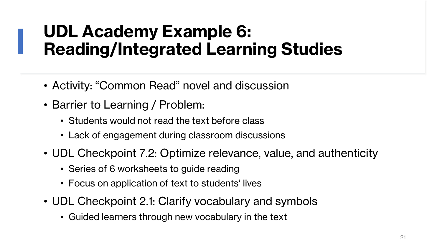### **UDL Academy Example 6: Reading/Integrated Learning Studies**

- Activity: "Common Read" novel and discussion
- Barrier to Learning / Problem:
	- Students would not read the text before class
	- Lack of engagement during classroom discussions
- UDL Checkpoint 7.2: Optimize relevance, value, and authenticity
	- Series of 6 worksheets to guide reading
	- Focus on application of text to students' lives
- UDL Checkpoint 2.1: Clarify vocabulary and symbols
	- Guided learners through new vocabulary in the text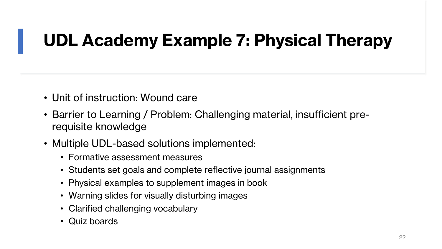### **UDL Academy Example 7: Physical Therapy**

- Unit of instruction: Wound care
- Barrier to Learning / Problem: Challenging material, insufficient prerequisite knowledge
- Multiple UDL-based solutions implemented:
	- Formative assessment measures
	- Students set goals and complete reflective journal assignments
	- Physical examples to supplement images in book
	- Warning slides for visually disturbing images
	- Clarified challenging vocabulary
	- Quiz boards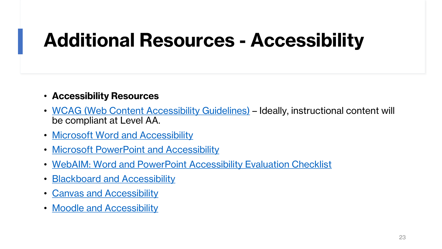## **Additional Resources - Accessibility**

#### • **Accessibility Resources**

- [WCAG \(Web Content Accessibility Guidelines\)](https://www.w3.org/WAI/standards-guidelines/wcag/) Ideally, instructional content will be compliant at Level AA.
- [Microsoft Word and Accessibility](https://support.office.com/en-us/article/Make-your-Word-documents-accessible-to-people-with-disabilities-d9bf3683-87ac-47ea-b91a-78dcacb3c66d)
- [Microsoft PowerPoint and Accessibility](https://support.office.com/en-us/article/Accessibility-support-for-PowerPoint-9d2b646d-0b79-4135-a570-b8c7ad33ac2f)
- [WebAIM: Word and PowerPoint Accessibility Evaluation Checklist](https://webaim.org/resources/evaloffice/)
- [Blackboard and Accessibility](https://help.blackboard.com/Accessibility/Write_Accessible_Content)
- [Canvas and Accessibility](https://community.canvaslms.com/docs/DOC-2061-accessibility-within-canvas)
- [Moodle and Accessibility](https://docs.moodle.org/dev/Accessibility)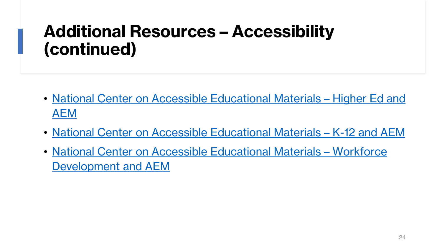### **Additional Resources – Accessibility (continued)**

- [National Center on Accessible Educational Materials](https://onondaga-my.sharepoint.com/personal/hromalic_sunyocc_edu/Documents/UDL%20Solo%20Work/Cornell%20LRC%20UDL%20Presentation/•%09http:/aem.cast.org/supporting/higher-education-aem.html)  Higher Ed and AEM
- [National Center on Accessible Educational Materials](http://aem.cast.org/supporting/k-12-aem.html)  K-12 and AEM
- [National Center on Accessible Educational Materials](http://aem.cast.org/supporting/workforce-development.html)  Workforce Development and AEM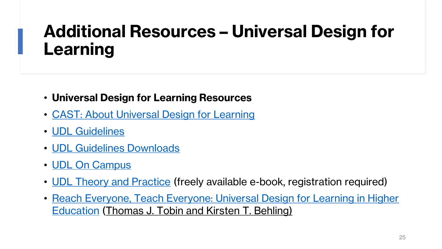### **Additional Resources – Universal Design for Learning**

- **Universal Design for Learning Resources**
- [CAST: About Universal Design for Learning](http://www.cast.org/our-work/about-udl.html)
- [UDL Guidelines](http://udlguidelines.cast.org/)
- [UDL Guidelines Downloads](http://udlguidelines.cast.org/more/downloads)
- [UDL On Campus](http://udloncampus.cast.org/home)
- [UDL Theory and Practice](http://udltheorypractice.cast.org/) (freely available e-book, registration required)
- [Reach Everyone, Teach Everyone: Universal Design for Learning in Higher](https://www.amazon.com/Reach-Everyone-Teach-Universal-Education/dp/1946684600)  Education (Thomas J. Tobin and Kirsten T. Behling)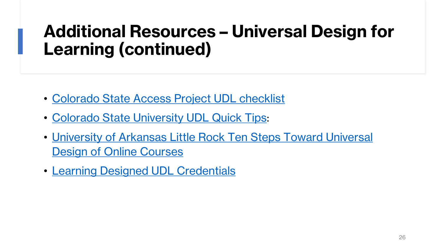### **Additional Resources – Universal Design for Learning (continued)**

- [Colorado State Access Project UDL checklist](http://accessproject.colostate.edu/udl/documents/how_do_you_teach_checklist.pdf)
- [Colorado State University UDL Quick Tips](https://onondaga-my.sharepoint.com/personal/hromalic_sunyocc_edu/Documents/UDL%20Solo%20Work/Cornell%20LRC%20UDL%20Presentation/•%09http:/accessproject.colostate.edu/udl/documents/udl_quick_tips.pdf):
- [University of Arkansas Little Rock Ten Steps Toward Universal](https://ualr.edu/disability/online-education/)  Design of Online Courses
- [Learning Designed UDL Credentials](https://www.learningdesigned.org/content/credentials-0)